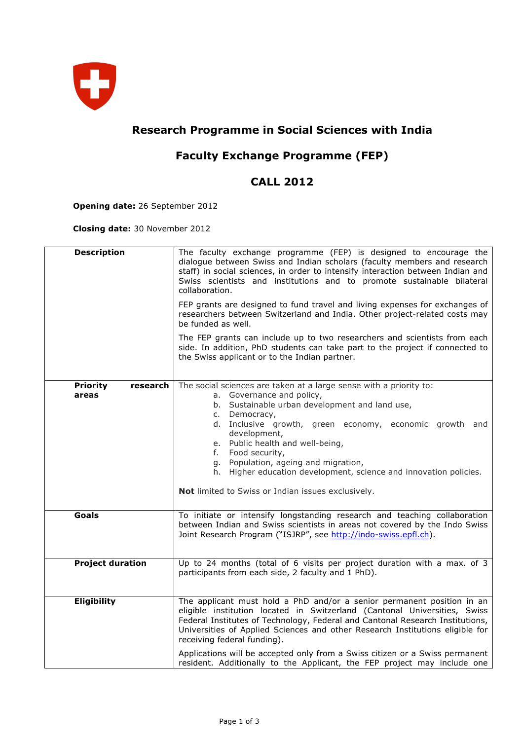

## **Research Programme in Social Sciences with India**

## **Faculty Exchange Programme (FEP)**

## **CALL 2012**

**Opening date:** 26 September 2012

**Closing date:** 30 November 2012

| <b>Description</b>                   | The faculty exchange programme (FEP) is designed to encourage the<br>dialogue between Swiss and Indian scholars (faculty members and research<br>staff) in social sciences, in order to intensify interaction between Indian and<br>Swiss scientists and institutions and to promote sustainable bilateral<br>collaboration.<br>FEP grants are designed to fund travel and living expenses for exchanges of<br>researchers between Switzerland and India. Other project-related costs may<br>be funded as well.<br>The FEP grants can include up to two researchers and scientists from each<br>side. In addition, PhD students can take part to the project if connected to<br>the Swiss applicant or to the Indian partner. |
|--------------------------------------|-------------------------------------------------------------------------------------------------------------------------------------------------------------------------------------------------------------------------------------------------------------------------------------------------------------------------------------------------------------------------------------------------------------------------------------------------------------------------------------------------------------------------------------------------------------------------------------------------------------------------------------------------------------------------------------------------------------------------------|
| <b>Priority</b><br>research<br>areas | The social sciences are taken at a large sense with a priority to:<br>a. Governance and policy,<br>b. Sustainable urban development and land use,<br>c. Democracy,<br>d. Inclusive growth, green economy, economic growth and<br>development,<br>e. Public health and well-being,<br>f. Food security,<br>g. Population, ageing and migration,<br>h. Higher education development, science and innovation policies.<br>Not limited to Swiss or Indian issues exclusively.                                                                                                                                                                                                                                                     |
| Goals                                | To initiate or intensify longstanding research and teaching collaboration<br>between Indian and Swiss scientists in areas not covered by the Indo Swiss<br>Joint Research Program ("ISJRP", see http://indo-swiss.epfl.ch).                                                                                                                                                                                                                                                                                                                                                                                                                                                                                                   |
| <b>Project duration</b>              | Up to 24 months (total of 6 visits per project duration with a max. of 3<br>participants from each side, 2 faculty and 1 PhD).                                                                                                                                                                                                                                                                                                                                                                                                                                                                                                                                                                                                |
| <b>Eligibility</b>                   | The applicant must hold a PhD and/or a senior permanent position in an<br>eligible institution located in Switzerland (Cantonal Universities, Swiss<br>Federal Institutes of Technology, Federal and Cantonal Research Institutions,<br>Universities of Applied Sciences and other Research Institutions eligible for<br>receiving federal funding).<br>Applications will be accepted only from a Swiss citizen or a Swiss permanent<br>resident. Additionally to the Applicant, the FEP project may include one                                                                                                                                                                                                              |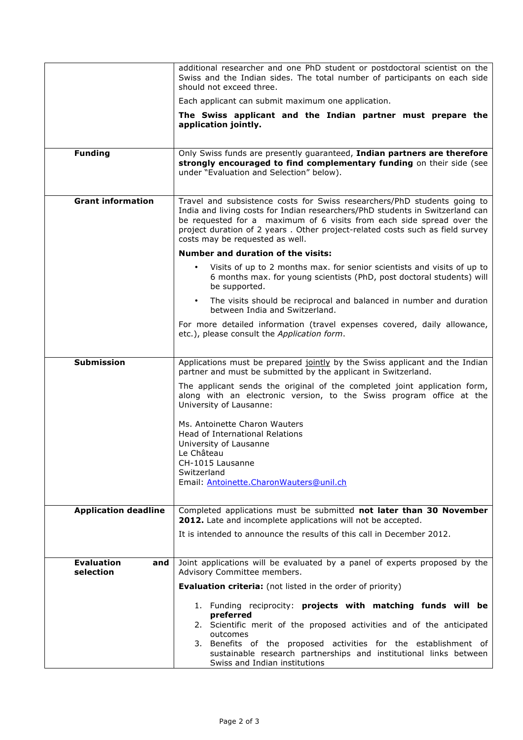|                                       | additional researcher and one PhD student or postdoctoral scientist on the<br>Swiss and the Indian sides. The total number of participants on each side<br>should not exceed three.                                                                                                                                                                     |
|---------------------------------------|---------------------------------------------------------------------------------------------------------------------------------------------------------------------------------------------------------------------------------------------------------------------------------------------------------------------------------------------------------|
|                                       | Each applicant can submit maximum one application.                                                                                                                                                                                                                                                                                                      |
|                                       | The Swiss applicant and the Indian partner must prepare the<br>application jointly.                                                                                                                                                                                                                                                                     |
| <b>Funding</b>                        | Only Swiss funds are presently guaranteed, Indian partners are therefore<br>strongly encouraged to find complementary funding on their side (see<br>under "Evaluation and Selection" below).                                                                                                                                                            |
| <b>Grant information</b>              | Travel and subsistence costs for Swiss researchers/PhD students going to<br>India and living costs for Indian researchers/PhD students in Switzerland can<br>be requested for a maximum of 6 visits from each side spread over the<br>project duration of 2 years . Other project-related costs such as field survey<br>costs may be requested as well. |
|                                       | <b>Number and duration of the visits:</b>                                                                                                                                                                                                                                                                                                               |
|                                       | Visits of up to 2 months max. for senior scientists and visits of up to<br>6 months max. for young scientists (PhD, post doctoral students) will<br>be supported.                                                                                                                                                                                       |
|                                       | The visits should be reciprocal and balanced in number and duration<br>$\bullet$ .<br>between India and Switzerland.                                                                                                                                                                                                                                    |
|                                       | For more detailed information (travel expenses covered, daily allowance,<br>etc.), please consult the Application form.                                                                                                                                                                                                                                 |
|                                       |                                                                                                                                                                                                                                                                                                                                                         |
| <b>Submission</b>                     | Applications must be prepared jointly by the Swiss applicant and the Indian<br>partner and must be submitted by the applicant in Switzerland.                                                                                                                                                                                                           |
|                                       | The applicant sends the original of the completed joint application form,<br>along with an electronic version, to the Swiss program office at the<br>University of Lausanne:                                                                                                                                                                            |
|                                       | Ms. Antoinette Charon Wauters<br>Head of International Relations<br>University of Lausanne<br>Le Château<br>CH-1015 Lausanne<br>Switzerland<br>Email: Antoinette.CharonWauters@unil.ch                                                                                                                                                                  |
|                                       |                                                                                                                                                                                                                                                                                                                                                         |
| <b>Application deadline</b>           | Completed applications must be submitted not later than 30 November                                                                                                                                                                                                                                                                                     |
|                                       | 2012. Late and incomplete applications will not be accepted.                                                                                                                                                                                                                                                                                            |
|                                       | It is intended to announce the results of this call in December 2012.                                                                                                                                                                                                                                                                                   |
| <b>Evaluation</b><br>and<br>selection | Joint applications will be evaluated by a panel of experts proposed by the<br>Advisory Committee members.                                                                                                                                                                                                                                               |
|                                       | <b>Evaluation criteria:</b> (not listed in the order of priority)                                                                                                                                                                                                                                                                                       |
|                                       | 1. Funding reciprocity: projects with matching funds will be<br>preferred<br>2. Scientific merit of the proposed activities and of the anticipated<br>outcomes<br>3. Benefits of the proposed activities for the establishment of<br>sustainable research partnerships and institutional links between                                                  |
|                                       | Swiss and Indian institutions                                                                                                                                                                                                                                                                                                                           |